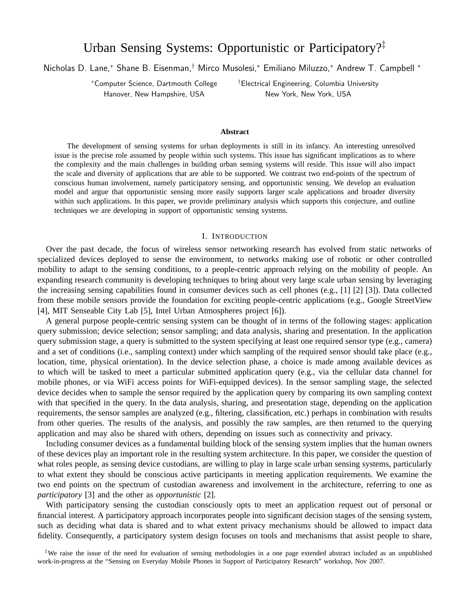# Urban Sensing Systems: Opportunistic or Participatory?‡

Nicholas D. Lane,<sup>∗</sup> Shane B. Eisenman,† Mirco Musolesi,<sup>∗</sup> Emiliano Miluzzo,<sup>∗</sup> Andrew T. Campbell <sup>∗</sup>

Hanover, New Hampshire, USA New York, New York, USA

<sup>∗</sup>Computer Science, Dartmouth College †Electrical Engineering, Columbia University

#### **Abstract**

The development of sensing systems for urban deployments is still in its infancy. An interesting unresolved issue is the precise role assumed by people within such systems. This issue has significant implications as to where the complexity and the main challenges in building urban sensing systems will reside. This issue will also impact the scale and diversity of applications that are able to be supported. We contrast two end-points of the spectrum of conscious human involvement, namely participatory sensing, and opportunistic sensing. We develop an evaluation model and argue that opportunistic sensing more easily supports larger scale applications and broader diversity within such applications. In this paper, we provide preliminary analysis which supports this conjecture, and outline techniques we are developing in support of opportunistic sensing systems.

# I. INTRODUCTION

Over the past decade, the focus of wireless sensor networking research has evolved from static networks of specialized devices deployed to sense the environment, to networks making use of robotic or other controlled mobility to adapt to the sensing conditions, to a people-centric approach relying on the mobility of people. An expanding research community is developing techniques to bring about very large scale urban sensing by leveraging the increasing sensing capabilities found in consumer devices such as cell phones (e.g., [1] [2] [3]). Data collected from these mobile sensors provide the foundation for exciting people-centric applications (e.g., Google StreetView [4], MIT Senseable City Lab [5], Intel Urban Atmospheres project [6]).

A general purpose people-centric sensing system can be thought of in terms of the following stages: application query submission; device selection; sensor sampling; and data analysis, sharing and presentation. In the application query submission stage, a query is submitted to the system specifying at least one required sensor type (e.g., camera) and a set of conditions (i.e., sampling context) under which sampling of the required sensor should take place (e.g., location, time, physical orientation). In the device selection phase, a choice is made among available devices as to which will be tasked to meet a particular submitted application query (e.g., via the cellular data channel for mobile phones, or via WiFi access points for WiFi-equipped devices). In the sensor sampling stage, the selected device decides when to sample the sensor required by the application query by comparing its own sampling context with that specified in the query. In the data analysis, sharing, and presentation stage, depending on the application requirements, the sensor samples are analyzed (e.g., filtering, classification, etc.) perhaps in combination with results from other queries. The results of the analysis, and possibly the raw samples, are then returned to the querying application and may also be shared with others, depending on issues such as connectivity and privacy.

Including consumer devices as a fundamental building block of the sensing system implies that the human owners of these devices play an important role in the resulting system architecture. In this paper, we consider the question of what roles people, as sensing device custodians, are willing to play in large scale urban sensing systems, particularly to what extent they should be conscious active participants in meeting application requirements. We examine the two end points on the spectrum of custodian awareness and involvement in the architecture, referring to one as *participatory* [3] and the other as *opportunistic* [2].

With participatory sensing the custodian consciously opts to meet an application request out of personal or financial interest. A participatory approach incorporates people into significant decision stages of the sensing system, such as deciding what data is shared and to what extent privacy mechanisms should be allowed to impact data fidelity. Consequently, a participatory system design focuses on tools and mechanisms that assist people to share,

‡We raise the issue of the need for evaluation of sensing methodologies in a one page extended abstract included as an unpublished work-in-progress at the "Sensing on Everyday Mobile Phones in Support of Participatory Research" workshop, Nov 2007.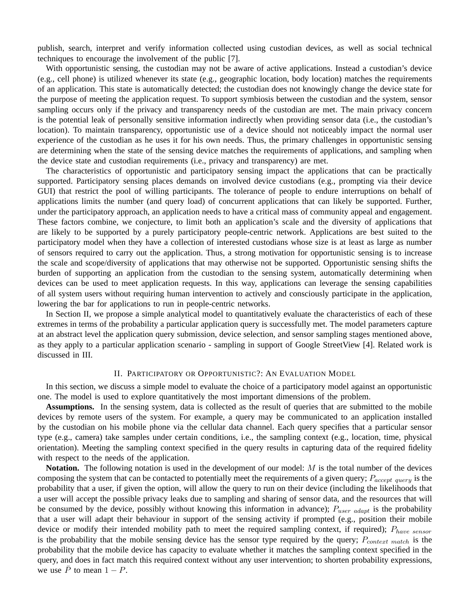publish, search, interpret and verify information collected using custodian devices, as well as social technical techniques to encourage the involvement of the public [7].

With opportunistic sensing, the custodian may not be aware of active applications. Instead a custodian's device (e.g., cell phone) is utilized whenever its state (e.g., geographic location, body location) matches the requirements of an application. This state is automatically detected; the custodian does not knowingly change the device state for the purpose of meeting the application request. To support symbiosis between the custodian and the system, sensor sampling occurs only if the privacy and transparency needs of the custodian are met. The main privacy concern is the potential leak of personally sensitive information indirectly when providing sensor data (i.e., the custodian's location). To maintain transparency, opportunistic use of a device should not noticeably impact the normal user experience of the custodian as he uses it for his own needs. Thus, the primary challenges in opportunistic sensing are determining when the state of the sensing device matches the requirements of applications, and sampling when the device state and custodian requirements (i.e., privacy and transparency) are met.

The characteristics of opportunistic and participatory sensing impact the applications that can be practically supported. Participatory sensing places demands on involved device custodians (e.g., prompting via their device GUI) that restrict the pool of willing participants. The tolerance of people to endure interruptions on behalf of applications limits the number (and query load) of concurrent applications that can likely be supported. Further, under the participatory approach, an application needs to have a critical mass of community appeal and engagement. These factors combine, we conjecture, to limit both an application's scale and the diversity of applications that are likely to be supported by a purely participatory people-centric network. Applications are best suited to the participatory model when they have a collection of interested custodians whose size is at least as large as number of sensors required to carry out the application. Thus, a strong motivation for opportunistic sensing is to increase the scale and scope/diversity of applications that may otherwise not be supported. Opportunistic sensing shifts the burden of supporting an application from the custodian to the sensing system, automatically determining when devices can be used to meet application requests. In this way, applications can leverage the sensing capabilities of all system users without requiring human intervention to actively and consciously participate in the application, lowering the bar for applications to run in people-centric networks.

In Section II, we propose a simple analytical model to quantitatively evaluate the characteristics of each of these extremes in terms of the probability a particular application query is successfully met. The model parameters capture at an abstract level the application query submission, device selection, and sensor sampling stages mentioned above, as they apply to a particular application scenario - sampling in support of Google StreetView [4]. Related work is discussed in III.

## II. PARTICIPATORY OR OPPORTUNISTIC?: AN EVALUATION MODEL

In this section, we discuss a simple model to evaluate the choice of a participatory model against an opportunistic one. The model is used to explore quantitatively the most important dimensions of the problem.

**Assumptions.** In the sensing system, data is collected as the result of queries that are submitted to the mobile devices by remote users of the system. For example, a query may be communicated to an application installed by the custodian on his mobile phone via the cellular data channel. Each query specifies that a particular sensor type (e.g., camera) take samples under certain conditions, i.e., the sampling context (e.g., location, time, physical orientation). Meeting the sampling context specified in the query results in capturing data of the required fidelity with respect to the needs of the application.

**Notation.** The following notation is used in the development of our model: M is the total number of the devices composing the system that can be contacted to potentially meet the requirements of a given query;  $P_{accept\ query}$  is the probability that a user, if given the option, will allow the query to run on their device (including the likelihoods that a user will accept the possible privacy leaks due to sampling and sharing of sensor data, and the resources that will be consumed by the device, possibly without knowing this information in advance);  $P_{user\ adapt}$  is the probability that a user will adapt their behaviour in support of the sensing activity if prompted (e.g., position their mobile device or modify their intended mobility path to meet the required sampling context, if required);  $P_{have~sensor}$ is the probability that the mobile sensing device has the sensor type required by the query;  $P_{context \; match}$  is the probability that the mobile device has capacity to evaluate whether it matches the sampling context specified in the query, and does in fact match this required context without any user intervention; to shorten probability expressions, we use  $\overline{P}$  to mean  $1 - P$ .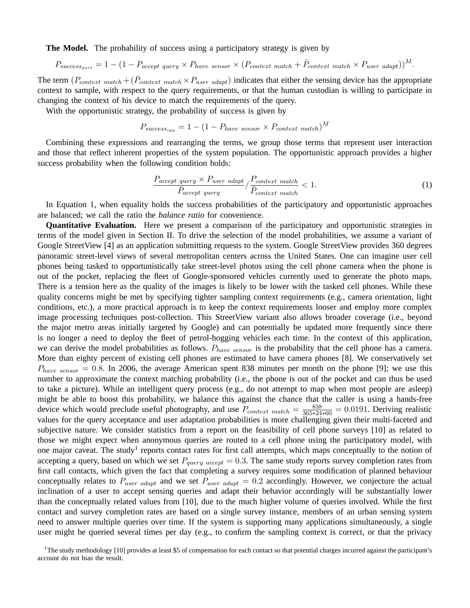**The Model.** The probability of success using a participatory strategy is given by

$$
P_{success_{part}} = 1 - (1 - P_{accept\ query} \times P_{have\ sensor} \times (P_{context\ match} + \bar{P}_{context\ match} \times P_{user\ adapt}))^{M}.
$$

The term  $(P_{context \ match} + (\bar{P}_{context \ match} \times P_{user \ adapt})$  indicates that either the sensing device has the appropriate context to sample, with respect to the query requirements, or that the human custodian is willing to participate in changing the context of his device to match the requirements of the query.

With the opportunistic strategy, the probability of success is given by

$$
P_{success_{opp}} = 1 - (1 - P_{have\ sensor} \times P_{context\ match})^M
$$

Combining these expressions and rearranging the terms, we group those terms that represent user interaction and those that reflect inherent properties of the system population. The opportunistic approach provides a higher success probability when the following condition holds:

$$
\frac{P_{accept\ query} \times P_{user\ adapt}}{\bar{P}_{accept\ query}} / \frac{P_{context\ match}}{\bar{P}_{context\ match}} < 1. \tag{1}
$$

In Equation 1, when equality holds the success probabilities of the participatory and opportunistic approaches are balanced; we call the ratio the *balance ratio* for convenience.

**Quantitative Evaluation.** Here we present a comparison of the participatory and opportunistic strategies in terms of the model given in Section II. To drive the selection of the model probabilities, we assume a variant of Google StreetView [4] as an application submitting requests to the system. Google StreetView provides 360 degrees panoramic street-level views of several metropolitan centers across the United States. One can imagine user cell phones being tasked to opportunistically take street-level photos using the cell phone camera when the phone is out of the pocket, replacing the fleet of Google-sponsored vehicles currently used to generate the photo maps. There is a tension here as the quality of the images is likely to be lower with the tasked cell phones. While these quality concerns might be met by specifying tighter sampling context requirements (e.g., camera orientation, light conditions, etc.), a more practical approach is to keep the context requirements looser and employ more complex image processing techniques post-collection. This StreetView variant also allows broader coverage (i.e., beyond the major metro areas initially targeted by Google) and can potentially be updated more frequently since there is no longer a need to deploy the fleet of petrol-hogging vehicles each time. In the context of this application, we can derive the model probabilities as follows.  $P_{have~sensor}$  is the probability that the cell phone has a camera. More than eighty percent of existing cell phones are estimated to have camera phones [8]. We conservatively set  $P_{have~sensor} = 0.8$ . In 2006, the average American spent 838 minutes per month on the phone [9]; we use this number to approximate the context matching probability (i.e., the phone is out of the pocket and can thus be used to take a picture). While an intelligent query process (e.g., do not attempt to map when most people are asleep) might be able to boost this probability, we balance this against the chance that the caller is using a hands-free device which would preclude useful photography, and use  $P_{context \; match} = \frac{838}{365 * 24 * 60} = 0.0191$ . Deriving realistic values for the query acceptance and user adaptation probabilities is more challenging given their multi-faceted and subjective nature. We consider statistics from a report on the feasibility of cell phone surveys [10] as related to those we might expect when anonymous queries are routed to a cell phone using the participatory model, with one major caveat. The study<sup>1</sup> reports contact rates for first call attempts, which maps conceptually to the notion of accepting a query, based on which we set  $P_{query \; accent} = 0.3$ . The same study reports survey completion rates from first call contacts, which given the fact that completing a survey requires some modification of planned behaviour conceptually relates to  $P_{user\ adapt}$  and we set  $P_{user\ adapt} = 0.2$  accordingly. However, we conjecture the actual inclination of a user to accept sensing queries and adapt their behavior accordingly will be substantially lower than the conceptually related values from [10], due to the much higher volume of queries involved. While the first contact and survey completion rates are based on a single survey instance, members of an urban sensing system need to answer multiple queries over time. If the system is supporting many applications simultaneously, a single user might be queried several times per day (e.g., to confirm the sampling context is correct, or that the privacy

<sup>1</sup>The study methodology [10] provides at least \$5 of compensation for each contact so that potential charges incurred against the participant's account do not bias the result.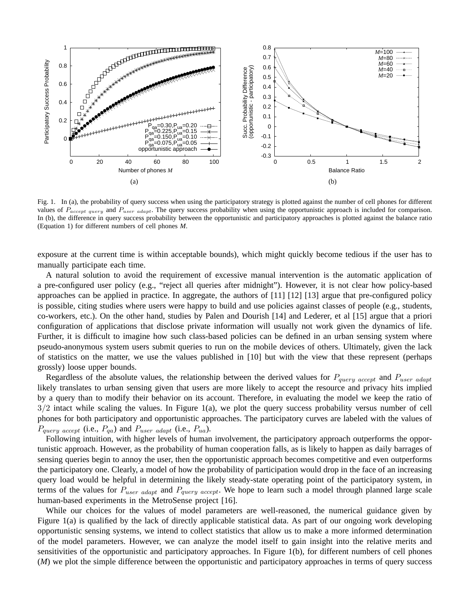

Fig. 1. In (a), the probability of query success when using the participatory strategy is plotted against the number of cell phones for different values of  $P_{accept\ query}$  and  $P_{user\ adapt}$ . The query success probability when using the opportunistic approach is included for comparison. In (b), the difference in query success probability between the opportunistic and participatory approaches is plotted against the balance ratio (Equation 1) for different numbers of cell phones *M*.

exposure at the current time is within acceptable bounds), which might quickly become tedious if the user has to manually participate each time.

A natural solution to avoid the requirement of excessive manual intervention is the automatic application of a pre-configured user policy (e.g., "reject all queries after midnight"). However, it is not clear how policy-based approaches can be applied in practice. In aggregate, the authors of [11] [12] [13] argue that pre-configured policy is possible, citing studies where users were happy to build and use policies against classes of people (e.g., students, co-workers, etc.). On the other hand, studies by Palen and Dourish [14] and Lederer, et al [15] argue that a priori configuration of applications that disclose private information will usually not work given the dynamics of life. Further, it is difficult to imagine how such class-based policies can be defined in an urban sensing system where pseudo-anonymous system users submit queries to run on the mobile devices of others. Ultimately, given the lack of statistics on the matter, we use the values published in [10] but with the view that these represent (perhaps grossly) loose upper bounds.

Regardless of the absolute values, the relationship between the derived values for  $P_{query\ accept}$  and  $P_{user\ adapt}$ likely translates to urban sensing given that users are more likely to accept the resource and privacy hits implied by a query than to modify their behavior on its account. Therefore, in evaluating the model we keep the ratio of  $3/2$  intact while scaling the values. In Figure 1(a), we plot the query success probability versus number of cell phones for both participatory and opportunistic approaches. The participatory curves are labeled with the values of  $P_{query \ accept}$  (i.e.,  $P_{qa}$ ) and  $P_{user \ adapt}$  (i.e.,  $P_{ua}$ ).

Following intuition, with higher levels of human involvement, the participatory approach outperforms the opportunistic approach. However, as the probability of human cooperation falls, as is likely to happen as daily barrages of sensing queries begin to annoy the user, then the opportunistic approach becomes competitive and even outperforms the participatory one. Clearly, a model of how the probability of participation would drop in the face of an increasing query load would be helpful in determining the likely steady-state operating point of the participatory system, in terms of the values for  $P_{user\ adapt}$  and  $P_{query\ accept}$ . We hope to learn such a model through planned large scale human-based experiments in the MetroSense project [16].

While our choices for the values of model parameters are well-reasoned, the numerical guidance given by Figure 1(a) is qualified by the lack of directly applicable statistical data. As part of our ongoing work developing opportunistic sensing systems, we intend to collect statistics that allow us to make a more informed determination of the model parameters. However, we can analyze the model itself to gain insight into the relative merits and sensitivities of the opportunistic and participatory approaches. In Figure 1(b), for different numbers of cell phones (*M*) we plot the simple difference between the opportunistic and participatory approaches in terms of query success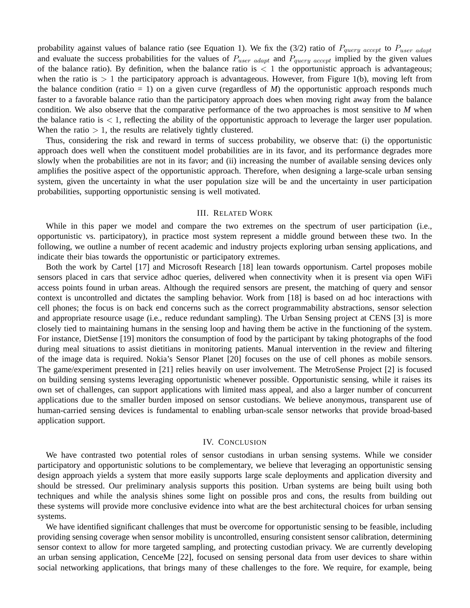probability against values of balance ratio (see Equation 1). We fix the (3/2) ratio of  $P_{query\ accept}$  to  $P_{user\ adapt}$ and evaluate the success probabilities for the values of  $P_{user\ adapt}$  and  $P_{query\ accept}$  implied by the given values of the balance ratio). By definition, when the balance ratio is  $\langle 1 \rangle$  the opportunistic approach is advantageous; when the ratio is  $> 1$  the participatory approach is advantageous. However, from Figure 1(b), moving left from the balance condition (ratio  $= 1$ ) on a given curve (regardless of *M*) the opportunistic approach responds much faster to a favorable balance ratio than the participatory approach does when moving right away from the balance condition. We also observe that the comparative performance of the two approaches is most sensitive to *M* when the balance ratio is  $\lt 1$ , reflecting the ability of the opportunistic approach to leverage the larger user population. When the ratio  $> 1$ , the results are relatively tightly clustered.

Thus, considering the risk and reward in terms of success probability, we observe that: (i) the opportunistic approach does well when the constituent model probabilities are in its favor, and its performance degrades more slowly when the probabilities are not in its favor; and (ii) increasing the number of available sensing devices only amplifies the positive aspect of the opportunistic approach. Therefore, when designing a large-scale urban sensing system, given the uncertainty in what the user population size will be and the uncertainty in user participation probabilities, supporting opportunistic sensing is well motivated.

# III. RELATED WORK

While in this paper we model and compare the two extremes on the spectrum of user participation (i.e., opportunistic vs. participatory), in practice most system represent a middle ground between these two. In the following, we outline a number of recent academic and industry projects exploring urban sensing applications, and indicate their bias towards the opportunistic or participatory extremes.

Both the work by Cartel [17] and Microsoft Research [18] lean towards opportunism. Cartel proposes mobile sensors placed in cars that service adhoc queries, delivered when connectivity when it is present via open WiFi access points found in urban areas. Although the required sensors are present, the matching of query and sensor context is uncontrolled and dictates the sampling behavior. Work from [18] is based on ad hoc interactions with cell phones; the focus is on back end concerns such as the correct programmability abstractions, sensor selection and appropriate resource usage (i.e., reduce redundant sampling). The Urban Sensing project at CENS [3] is more closely tied to maintaining humans in the sensing loop and having them be active in the functioning of the system. For instance, DietSense [19] monitors the consumption of food by the participant by taking photographs of the food during meal situations to assist dietitians in monitoring patients. Manual intervention in the review and filtering of the image data is required. Nokia's Sensor Planet [20] focuses on the use of cell phones as mobile sensors. The game/experiment presented in [21] relies heavily on user involvement. The MetroSense Project [2] is focused on building sensing systems leveraging opportunistic whenever possible. Opportunistic sensing, while it raises its own set of challenges, can support applications with limited mass appeal, and also a larger number of concurrent applications due to the smaller burden imposed on sensor custodians. We believe anonymous, transparent use of human-carried sensing devices is fundamental to enabling urban-scale sensor networks that provide broad-based application support.

### IV. CONCLUSION

We have contrasted two potential roles of sensor custodians in urban sensing systems. While we consider participatory and opportunistic solutions to be complementary, we believe that leveraging an opportunistic sensing design approach yields a system that more easily supports large scale deployments and application diversity and should be stressed. Our preliminary analysis supports this position. Urban systems are being built using both techniques and while the analysis shines some light on possible pros and cons, the results from building out these systems will provide more conclusive evidence into what are the best architectural choices for urban sensing systems.

We have identified significant challenges that must be overcome for opportunistic sensing to be feasible, including providing sensing coverage when sensor mobility is uncontrolled, ensuring consistent sensor calibration, determining sensor context to allow for more targeted sampling, and protecting custodian privacy. We are currently developing an urban sensing application, CenceMe [22], focused on sensing personal data from user devices to share within social networking applications, that brings many of these challenges to the fore. We require, for example, being